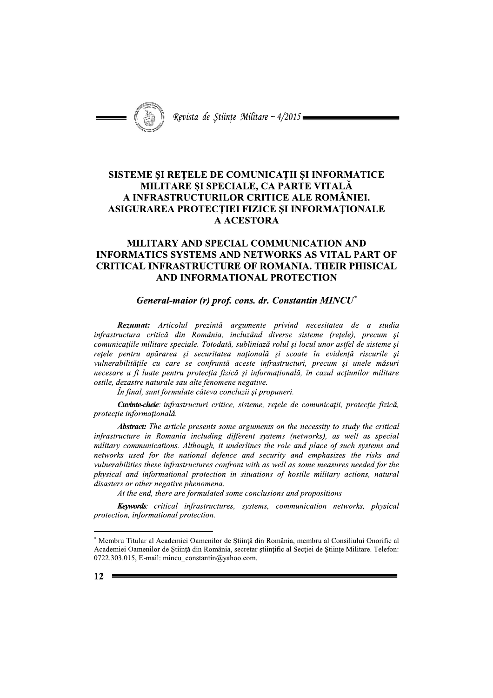

Revista de Stiințe Militare ~  $4/2015$ 

# SISTEME ȘI REȚELE DE COMUNICAȚII ȘI INFORMATICE MILITARE ȘI SPECIALE, CA PARTE VITALĂ A INFRASTRUCTURILOR CRITICE ALE ROMÂNIEI. ASIGURAREA PROTECȚIEI FIZICE ȘI INFORMAȚIONALE **A ACESTORA**

# MILITARY AND SPECIAL COMMUNICATION AND **INFORMATICS SYSTEMS AND NETWORKS AS VITAL PART OF CRITICAL INFRASTRUCTURE OF ROMANIA. THEIR PHISICAL** AND INFORMATIONAL PROTECTION

### General-maior (r) prof. cons. dr. Constantin MINCU\*

Rezumat: Articolul prezintă argumente privind necesitatea de a studia infrastructura critică din România, incluzând diverse sisteme (retele), precum și comunicațiile militare speciale. Totodată, subliniază rolul și locul unor astfel de sisteme și rețele pentru apărarea și securitatea națională și scoate în evidență riscurile și vulnerabilitățile cu care se confruntă aceste infrastructuri, precum și unele măsuri necesare a fi luate pentru protecția fizică și informațională, în cazul acțiunilor militare ostile, dezastre naturale sau alte fenomene negative.

În final, sunt formulate câteva concluzii și propuneri.

Cuvinte-cheie: infrastructuri critice, sisteme, retele de comunicatii, protectie fizică, protecție informațională.

**Abstract:** The article presents some arguments on the necessity to study the critical infrastructure in Romania including different systems (networks), as well as special military communications. Although, it underlines the role and place of such systems and networks used for the national defence and security and emphasizes the risks and vulnerabilities these infrastructures confront with as well as some measures needed for the physical and informational protection in situations of hostile military actions, natural disasters or other negative phenomena.

At the end, there are formulated some conclusions and propositions

Keywords: critical infrastructures, systems, communication networks, physical protection, informational protection.

<sup>\*</sup> Membru Titular al Academiei Oamenilor de Stiință din România, membru al Consiliului Onorific al Academiei Oamenilor de Știință din România, secretar științific al Secției de Științe Militare. Telefon: 0722.303.015, E-mail: mincu constantin@yahoo.com.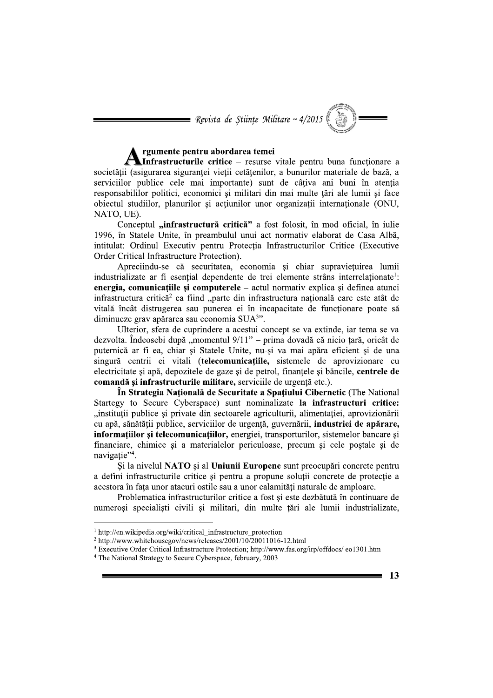$\blacksquare$  Revista de Științe Militare ~ 4/2015

# rgumente pentru abordarea temei

Infrastructurile critice - resurse vitale pentru buna funcționare a societății (asigurarea sigurantei vietii cetătenilor, a bunurilor materiale de bază, a serviciilor publice cele mai importante) sunt de câțiva ani buni în atenția responsabililor politici, economici si militari din mai multe tări ale lumii si face obiectul studiilor, planurilor și acțiunilor unor organizații internaționale (ONU, NATO, UE).

Conceptul "infrastructură critică" a fost folosit, în mod oficial, în iulie 1996, în Statele Unite, în preambulul unui act normativ elaborat de Casa Albă. intitulat: Ordinul Executiv pentru Protecția Infrastructurilor Critice (Executive Order Critical Infrastructure Protection).

Apreciindu-se că securitatea, economia și chiar supraviețuirea lumii industrializate ar fi esential dependente de trei elemente strâns interrelationate<sup>1</sup>: energia, comunicatiile si computerele – actul normativ explica si definea atunci infrastructura critică<sup>2</sup> ca fiind "parte din infrastructura natională care este atât de vitală încât distrugerea sau punerea ei în incapacitate de funcționare poate să diminueze grav apărarea sau economia  $SUA<sup>3</sup>$ .

Ulterior, sfera de cuprindere a acestui concept se va extinde, iar tema se va dezvolta. Îndeosebi după "momentul 9/11" – prima dovadă că nicio țară, oricât de puternică ar fi ea, chiar și Statele Unite, nu-și va mai apăra eficient și de una singură centrii ei vitali (telecomunicatiile, sistemele de aprovizionare cu electricitate și apă, depozitele de gaze și de petrol, finanțele și băncile, centrele de comandă și infrastructurile militare, serviciile de urgență etc.).

În Strategia Națională de Securitate a Spațiului Cibernetic (The National Startegy to Secure Cyberspace) sunt nominalizate la infrastructuri critice: "instituții publice și private din sectoarele agriculturii, alimentației, aprovizionării cu apă, sănătății publice, serviciilor de urgență, guvernării, industriei de apărare, informatiilor și telecomunicațiilor, energiei, transporturilor, sistemelor bancare și financiare, chimice și a materialelor periculoase, precum și cele poștale și de navigatie"<sup>4</sup>.

Și la nivelul NATO și al Uniunii Europene sunt preocupări concrete pentru a defini infrastructurile critice și pentru a propune soluții concrete de protecție a acestora în fata unor atacuri ostile sau a unor calamităti naturale de amploare.

Problematica infrastructurilor critice a fost și este dezbătută în continuare de numerosi specialisti civili si militari, din multe tări ale lumii industrializate,

 $1$  http://en.wikipedia.org/wiki/critical infrastructure protection

 $2 \text{ http://www.whitehousegov/news/release/2001/10/20011016-12.html}$ 

<sup>&</sup>lt;sup>3</sup> Executive Order Critical Infrastructure Protection; http://www.fas.org/irp/offdocs/ eo1301.htm

<sup>&</sup>lt;sup>4</sup> The National Strategy to Secure Cyberspace, february, 2003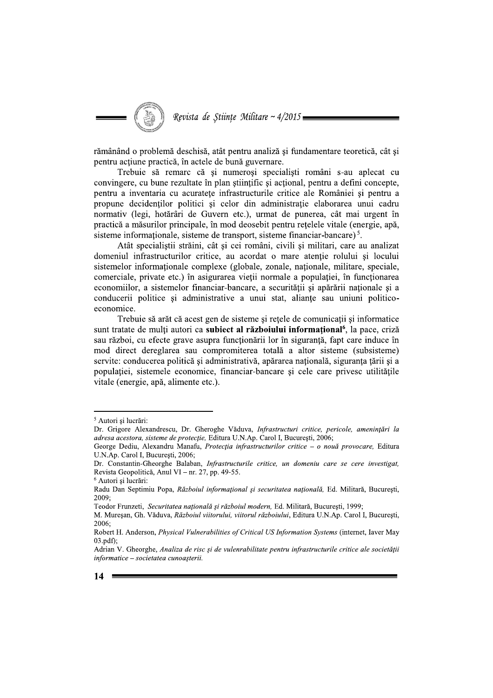Revista de Științe Militare ~ 4/2015 =

rămânând o problemă deschisă, atât pentru analiză și fundamentare teoretică, cât și pentru acțiune practică, în actele de bună guvernare.

Trebuie să remarc că și numeroși specialiști români s-au aplecat cu convingere, cu bune rezultate în plan științific și acțional, pentru a defini concepte, pentru a inventaria cu acuratete infrastructurile critice ale României și pentru a propune decidenților politici și celor din administrație elaborarea unui cadru normativ (legi, hotărâri de Guvern etc.), urmat de punerea, cât mai urgent în practică a măsurilor principale, în mod deosebit pentru rețelele vitale (energie, apă, sisteme informationale, sisteme de transport, sisteme financiar-bancare)<sup>5</sup>.

Atât specialiștii străini, cât și cei români, civili și militari, care au analizat domeniul infrastructurilor critice, au acordat o mare atentie rolului și locului sistemelor informationale complexe (globale, zonale, nationale, militare, speciale, comerciale, private etc.) în asigurarea vieții normale a populației, în funcționarea economiilor, a sistemelor financiar-bancare, a securității și apărării nationale și a conducerii politice si administrative a unui stat, aliante sau uniuni politicoeconomice.

Trebuie să arăt că acest gen de sisteme și rețele de comunicații și informatice sunt tratate de multi autori ca subiect al războiului informational<sup>6</sup>, la pace, criză sau război, cu efecte grave asupra funcționării lor în siguranță, fapt care induce în mod direct dereglarea sau compromiterea totală a altor sisteme (subsisteme) servite: conducerea politică și administrativă, apărarea natională, siguranta tării și a populației, sistemele economice, financiar-bancare și cele care privesc utilitățile vitale (energie, apă, alimente etc.).

Teodor Frunzeti, Securitatea națională și războiul modern, Ed. Militară, București, 1999;

<sup>&</sup>lt;sup>5</sup> Autori și lucrări:

Dr. Grigore Alexandrescu, Dr. Gheroghe Văduva, Infrastructuri critice, pericole, amenințări la adresa acestora, sisteme de protecție, Editura U.N.Ap. Carol I, București, 2006;

George Dediu, Alexandru Manafu, Protecția infrastructurilor critice - o nouă provocare, Editura U.N.Ap. Carol I, București, 2006;

Dr. Constantin-Gheorghe Balaban, Infrastructurile critice, un domeniu care se cere investigat, Revista Geopolitică, Anul VI – nr. 27, pp. 49-55.

<sup>&</sup>lt;sup>6</sup> Autori și lucrări:

Radu Dan Septimiu Popa, Războiul informational si securitatea natională, Ed. Militară, Bucuresti, 2009

M. Muresan, Gh. Văduva, Războiul viitorului, viitorul războiului, Editura U.N.Ap. Carol I, Bucuresti,  $2006:$ 

Robert H. Anderson, *Physical Vulnerabilities of Critical US Information Systems* (internet, Iaver May  $03.pdf$ ;

Adrian V. Gheorghe, Analiza de risc și de vulenrabilitate pentru infrastructurile critice ale societății informatice - societatea cunoașterii.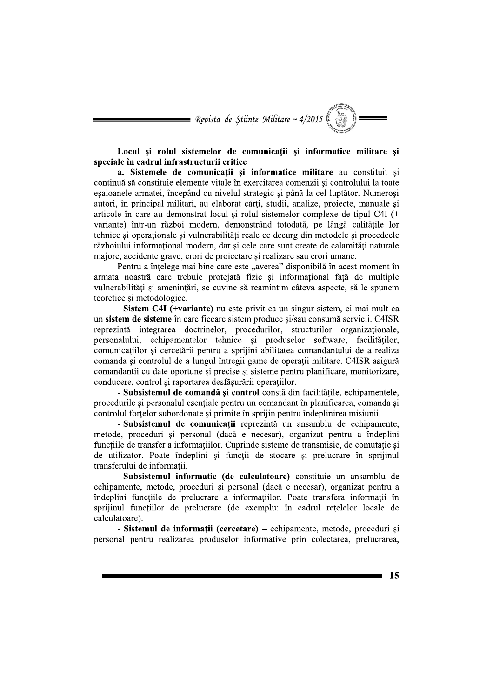= Revista de Științe Militare ~  $4/2015$ 

Locul si rolul sistemelor de comunicatii si informatice militare si speciale în cadrul infrastructurii critice

a. Sistemele de comunicatii si informatice militare au constituit si continuă să constituie elemente vitale în exercitarea comenzii și controlului la toate esaloanele armatei, începând cu nivelul strategic și până la cel luptător. Numeroși autori, în principal militari, au elaborat cărți, studii, analize, proiecte, manuale și articole în care au demonstrat locul și rolul sistemelor complexe de tipul C4I (+ variante) într-un război modern, demonstrând totodată, pe lângă calitățile lor tehnice si operationale si vulnerabilități reale ce decurg din metodele si procedeele războiului informațional modern, dar și cele care sunt create de calamități naturale majore, accidente grave, erori de projectare și realizare sau erori umane.

Pentru a înțelege mai bine care este "averea" disponibilă în acest moment în armata noastră care trebuie protejată fizic și informațional față de multiple vulnerabilități și amenintări, se cuvine să reamintim câteva aspecte, să le spunem teoretice si metodologice.

- Sistem C4I (+variante) nu este privit ca un singur sistem, ci mai mult ca un sistem de sisteme în care fiecare sistem produce si/sau consumă servicii. C4ISR reprezintă integrarea doctrinelor, procedurilor, structurilor organizaționale, personalului, echipamentelor tehnice și produselor software, facilităților, comunicațiilor și cercetării pentru a sprijini abilitatea comandantului de a realiza comanda si controlul de-a lungul întregii game de operatii militare. C4ISR asigură comandanții cu date oportune și precise și sisteme pentru planificare, monitorizare, conducere, control și raportarea desfășurării operațiilor.

- Subsistemul de comandă și control constă din facilitățile, echipamentele, procedurile si personalul esentiale pentru un comandant în planificarea, comanda și controlul fortelor subordonate și primite în sprijin pentru îndeplinirea misiunii.

- Subsistemul de comunicații reprezintă un ansamblu de echipamente, metode, proceduri și personal (dacă e necesar), organizat pentru a îndeplini functiile de transfer a informatiilor. Cuprinde sisteme de transmisie, de comutatie si de utilizator. Poate îndeplini și funcții de stocare și prelucrare în sprijinul transferului de informatii.

- Subsistemul informatic (de calculatoare) constituie un ansamblu de echipamente, metode, proceduri si personal (dacă e necesar), organizat pentru a îndeplini funcțiile de prelucrare a informațiilor. Poate transfera informații în sprijinul functiilor de prelucrare (de exemplu: în cadrul retelelor locale de calculatoare).

- Sistemul de informații (cercetare) – echipamente, metode, proceduri și personal pentru realizarea produselor informative prin colectarea, prelucrarea,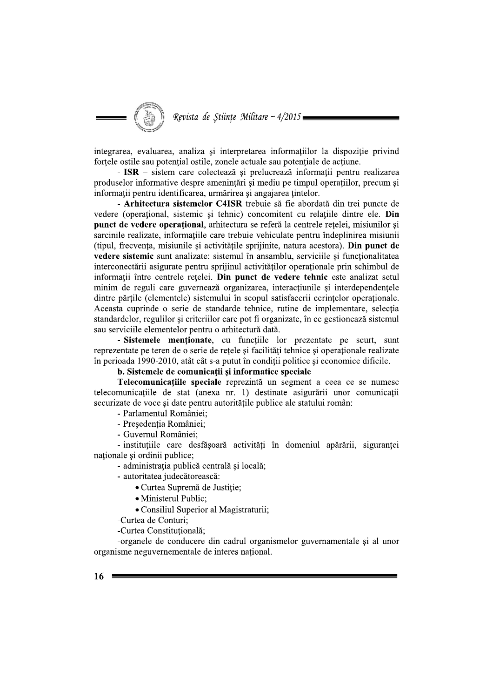Revista de Stiințe Militare ~  $4/2015$  =

integrarea, evaluarea, analiza si interpretarea informatiilor la dispozitie privind fortele ostile sau potențial ostile, zonele actuale sau potențiale de acțiune.

- ISR – sistem care colectează și prelucrează informații pentru realizarea produselor informative despre amenințări și mediu pe timpul operațiilor, precum și informații pentru identificarea, urmărirea și angajarea țintelor.

- Arhitectura sistemelor C4ISR trebuie să fie abordată din trei puncte de vedere (operational, sistemic si tehnic) concomitent cu relatiile dintre ele. Din punct de vedere operațional, arhitectura se referă la centrele rețelei, misiunilor și sarcinile realizate, informatiile care trebuie vehiculate pentru îndeplinirea misiunii (tipul, frecvența, misiunile și activitățile sprijinite, natura acestora). Din punct de vedere sistemic sunt analizate: sistemul în ansamblu, serviciile și funcționalitatea interconectării asigurate pentru sprijinul activităților operaționale prin schimbul de informatii între centrele rețelei. Din punct de vedere tehnic este analizat setul minim de reguli care guvernează organizarea, interactiunile si interdependentele dintre părtile (elementele) sistemului în scopul satisfacerii cerintelor operationale. Aceasta cuprinde o serie de standarde tehnice, rutine de implementare, selectia standardelor, regulilor si criteriilor care pot fi organizate, în ce gestionează sistemul sau serviciile elementelor pentru o arhitectură dată.

- Sistemele mentionate, cu funcțiile lor prezentate pe scurt, sunt reprezentate pe teren de o serie de rețele și facilități tehnice și operaționale realizate în perioada 1990-2010, atât cât s-a putut în condiții politice și economice dificile.

# b. Sistemele de comunicații și informatice speciale

Telecomunicațiile speciale reprezintă un segment a ceea ce se numesc telecomunicațiile de stat (anexa nr. 1) destinate asigurării unor comunicații securizate de voce și date pentru autoritățile publice ale statului român:

- Parlamentul României:
- Presedentia României:
- Guvernul României:

- instituțiile care desfășoară activități în domeniul apărării, siguranței naționale și ordinii publice;

- administrația publică centrală și locală;

- autoritatea judecătorească:
	- Curtea Supremă de Justiție;
	- · Ministerul Public;
	- Consiliul Superior al Magistraturii;

-Curtea de Conturi;

-Curtea Constituțională;

-organele de conducere din cadrul organismelor guvernamentale și al unor organisme neguvernementale de interes national.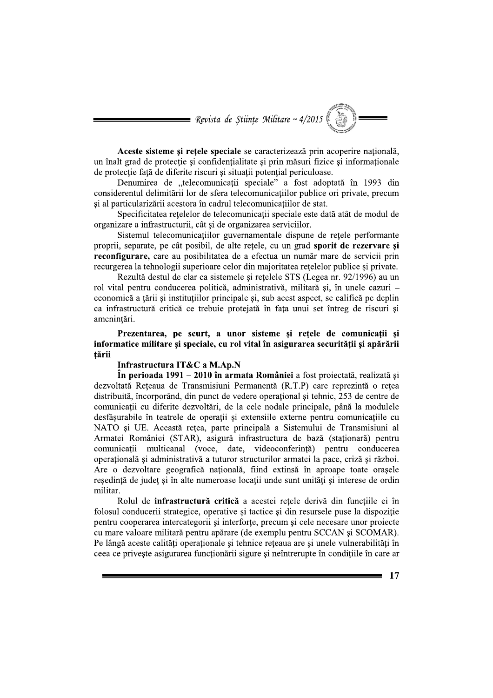$\blacksquare$  Revista de Științe Militare ~ 4/2015

Aceste sisteme si retele speciale se caracterizează prin acoperire natională, un înalt grad de protecție și confidențialitate și prin măsuri fizice și informaționale de protecție față de diferite riscuri și situații potențial periculoase.

Denumirea de "telecomunicații speciale" a fost adoptată în 1993 din considerentul delimitării lor de sfera telecomunicatiilor publice ori private, precum și al particularizării acestora în cadrul telecomunicațiilor de stat.

Specificitatea retelelor de telecomunicatii speciale este dată atât de modul de organizare a infrastructurii, cât și de organizarea serviciilor.

Sistemul telecomunicatiilor guvernamentale dispune de retele performante proprii, separate, pe cât posibil, de alte rețele, cu un grad sporit de rezervare și reconfigurare, care au posibilitatea de a efectua un număr mare de servicii prin recurgerea la tehnologii superioare celor din majoritatea retelelor publice și private.

Rezultă destul de clar ca sistemele și rețelele STS (Legea nr. 92/1996) au un rol vital pentru conducerea politică, administrativă, militară și, în unele cazuri – economică a tării și institutiilor principale și, sub acest aspect, se califică pe deplin ca infrastructură critică ce trebuie protejată în fata unui set întreg de riscuri si amenințări.

Prezentarea, pe scurt, a unor sisteme și rețele de comunicații și informatice militare si speciale, cu rol vital în asigurarea securității și apărării tării

### Infrastructura IT&C a M.Ap.N

În perioada 1991 – 2010 în armata României a fost proiectată, realizată și dezvoltată Rețeaua de Transmisiuni Permanentă (R.T.P) care reprezintă o rețea distribuită, încorporând, din punct de vedere operațional și tehnic, 253 de centre de comunicatii cu diferite dezvoltări, de la cele nodale principale, până la modulele desfășurabile în teatrele de operații și extensiile externe pentru comunicațiile cu NATO si UE. Această rețea, parte principală a Sistemului de Transmisiuni al Armatei României (STAR), asigură infrastructura de bază (staționară) pentru comunicații multicanal (voce, date, videoconferință) pentru conducerea operatională și administrativă a tuturor structurilor armatei la pace, criză și război. Are o dezvoltare geografică natională, fiind extinsă în aproape toate orașele resedintă de judet și în alte numeroase locatii unde sunt unităti și interese de ordin militar.

Rolul de infrastructură critică a acestei rețele derivă din funcțiile ei în folosul conducerii strategice, operative și tactice și din resursele puse la dispoziție pentru cooperarea intercategorii și interforțe, precum și cele necesare unor proiecte cu mare valoare militară pentru apărare (de exemplu pentru SCCAN și SCOMAR). Pe lângă aceste calități operaționale și tehnice rețeaua are și unele vulnerabilități în ceea ce priveste asigurarea functionării sigure si neîntrerupte în conditiile în care ar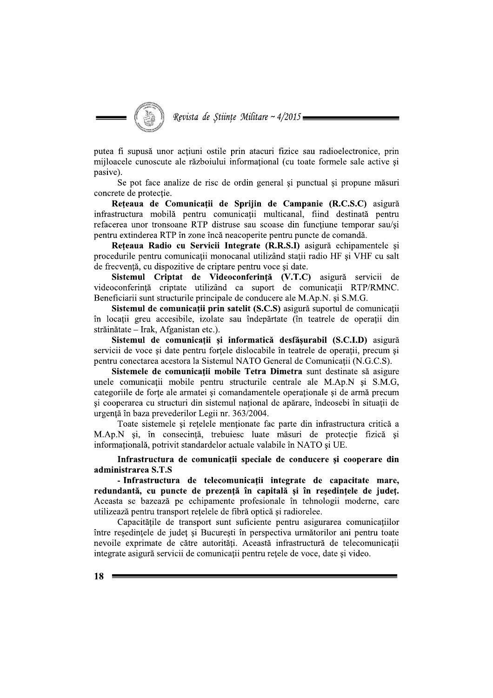putea fi supusă unor actiuni ostile prin atacuri fizice sau radioelectronice, prin mijloacele cunoscute ale războiului informațional (cu toate formele sale active și pasive).

Se pot face analize de risc de ordin general și punctual și propune măsuri concrete de protectie.

Rețeaua de Comunicații de Sprijin de Campanie (R.C.S.C) asigură infrastructura mobilă pentru comunicații multicanal, fiind destinată pentru refacerea unor tronsoane RTP distruse sau scoase din funcțiune temporar sau/și pentru extinderea RTP în zone încă neacoperite pentru puncte de comandă.

Reteaua Radio cu Servicii Integrate (R.R.S.I) asigură echipamentele și procedurile pentru comunicații monocanal utilizând stații radio HF și VHF cu salt de frecvență, cu dispozitive de criptare pentru voce și date.

Sistemul Criptat de Videoconferință (V.T.C) asigură servicii de videoconferintă criptate utilizând ca suport de comunicatii RTP/RMNC. Beneficiarii sunt structurile principale de conducere ale M.Ap.N. și S.M.G.

Sistemul de comunicații prin satelit (S.C.S) asigură suportul de comunicații în locații greu accesibile, izolate sau îndepărtate (în teatrele de operații din străinătate – Irak, Afganistan etc.).

Sistemul de comunicații și informatică desfășurabil (S.C.I.D) asigură servicii de voce si date pentru fortele dislocabile în teatrele de operatii, precum si pentru conectarea acestora la Sistemul NATO General de Comunicatii (N.G.C.S).

Sistemele de comunicații mobile Tetra Dimetra sunt destinate să asigure unele comunicații mobile pentru structurile centrale ale M.Ap.N și S.M.G, categoriile de forțe ale armatei și comandamentele operaționale și de armă precum si cooperarea cu structuri din sistemul național de apărare, îndeosebi în situații de urgență în baza prevederilor Legii nr. 363/2004.

Toate sistemele și rețelele menționate fac parte din infrastructura critică a M.Ap.N și, în consecință, trebuiesc luate măsuri de protecție fizică și informațională, potrivit standardelor actuale valabile în NATO și UE.

Infrastructura de comunicații speciale de conducere și cooperare din administrarea S.T.S

- Infrastructura de telecomunicații integrate de capacitate mare, redundantă, cu puncte de prezentă în capitală și în resedintele de judet. Aceasta se bazează pe echipamente profesionale în tehnologii moderne, care utilizează pentru transport rețelele de fibră optică și radiorelee.

Capacitățile de transport sunt suficiente pentru asigurarea comunicațiilor între reședințele de județ și București în perspectiva următorilor ani pentru toate nevoile exprimate de către autorități. Această infrastructură de telecomunicații integrate asigură servicii de comunicatii pentru retele de voce, date si video.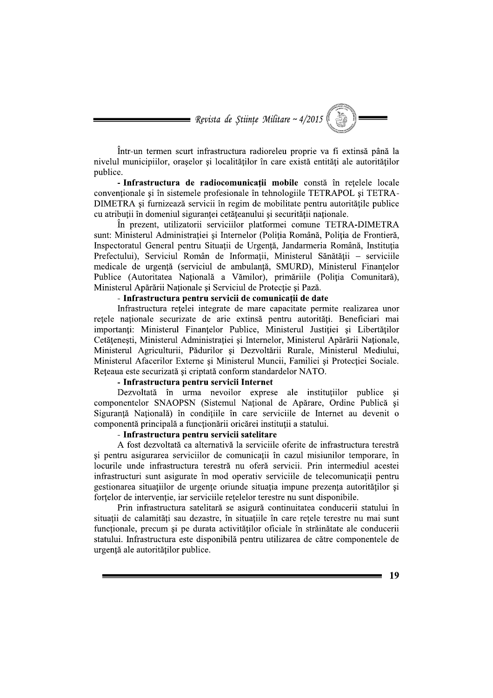= Revista de Științe Militare ~  $4/2015$ 

Într-un termen scurt infrastructura radioreleu proprie va fi extinsă până la nivelul municipiilor, orașelor și localităților în care există entități ale autorităților publice.

- Infrastructura de radiocomunicații mobile constă în rețelele locale conventionale si în sistemele profesionale în tehnologiile TETRAPOL si TETRA-DIMETRA și furnizează servicii în regim de mobilitate pentru autoritățile publice cu atributii în domeniul sigurantei cetăteanului și securității nationale.

În prezent, utilizatorii serviciilor platformei comune TETRA-DIMETRA sunt: Ministerul Administratiei și Internelor (Poliția Română, Poliția de Frontieră, Inspectoratul General pentru Situații de Urgență, Jandarmeria Română, Instituția Prefectului), Serviciul Român de Informații, Ministerul Sănătății - serviciile medicale de urgență (serviciul de ambulanță, SMURD), Ministerul Finanțelor Publice (Autoritatea Națională a Vămilor), primăriile (Poliția Comunitară), Ministerul Apărării Nationale și Serviciul de Protectie și Pază.

### - Infrastructura pentru servicii de comunicatii de date

Infrastructura rețelei integrate de mare capacitate permite realizarea unor retele nationale securizate de arie extinsă pentru autorități. Beneficiari mai importanți: Ministerul Finanțelor Publice, Ministerul Justiției și Libertăților Cetățenești, Ministerul Administrației și Internelor, Ministerul Apărării Naționale, Ministerul Agriculturii, Pădurilor și Dezvoltării Rurale, Ministerul Mediului, Ministerul Afacerilor Externe si Ministerul Muncii, Familiei si Protectiei Sociale. Rețeaua este securizată și criptată conform standardelor NATO.

#### - Infrastructura pentru servicii Internet

Dezvoltată în urma nevoilor exprese ale institutiilor publice si componentelor SNAOPSN (Sistemul Național de Apărare, Ordine Publică și Siguranță Națională) în condițiile în care serviciile de Internet au devenit o componentă principală a functionării oricărei institutii a statului.

### - Infrastructura pentru servicii satelitare

A fost dezvoltată ca alternativă la serviciile oferite de infrastructura terestră si pentru asigurarea serviciilor de comunicații în cazul misiunilor temporare, în locurile unde infrastructura terestră nu oferă servicii. Prin intermediul acestei infrastructuri sunt asigurate în mod operativ serviciile de telecomunicații pentru gestionarea situatiilor de urgente oriunde situatia impune prezenta autorităților și fortelor de intervenție, iar serviciile rețelelor terestre nu sunt disponibile.

Prin infrastructura satelitară se asigură continuitatea conducerii statului în situații de calamități sau dezastre, în situațiile în care rețele terestre nu mai sunt funcționale, precum și pe durata activităților oficiale în străinătate ale conducerii statului. Infrastructura este disponibilă pentru utilizarea de către componentele de urgentă ale autorităților publice.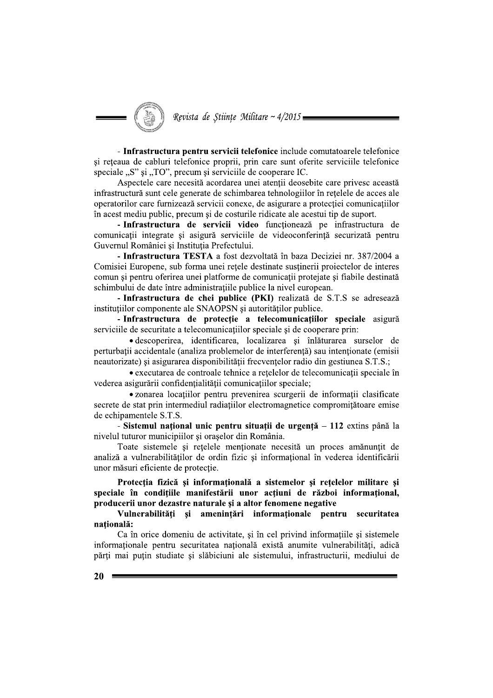Revista de Științe Militare ~ 4/2015 =

- Infrastructura pentru servicii telefonice include comutatoarele telefonice și rețeaua de cabluri telefonice proprii, prin care sunt oferite serviciile telefonice speciale "S" și "TO", precum și serviciile de cooperare IC.

Aspectele care necesită acordarea unei atenții deosebite care privesc această infrastructură sunt cele generate de schimbarea tehnologiilor în rețelele de acces ale operatorilor care furnizează servicii conexe, de asigurare a protecției comunicațiilor în acest mediu public, precum și de costurile ridicate ale acestui tip de suport.

- Infrastructura de servicii video funcționează pe infrastructura de comunicatii integrate si asigură serviciile de videoconferintă securizată pentru Guvernul României și Instituția Prefectului.

- Infrastructura TESTA a fost dezvoltată în baza Deciziei nr. 387/2004 a Comisiei Europene, sub forma unei rețele destinate susținerii proiectelor de interes comun și pentru oferirea unei platforme de comunicații protejate și fiabile destinată schimbului de date între administratiile publice la nivel european.

- Infrastructura de chei publice (PKI) realizată de S.T.S se adresează instituțiilor componente ale SNAOPSN și autorităților publice.

- Infrastructura de protectie a telecomunicatiilor speciale asigură serviciile de securitate a telecomunicațiilor speciale și de cooperare prin:

· descoperirea, identificarea, localizarea și înlăturarea surselor de perturbatii accidentale (analiza problemelor de interferentă) sau intentionate (emisii neautorizate) și asigurarea disponibilității frecvențelor radio din gestiunea S.T.S.;

• executarea de controale tehnice a retelelor de telecomunicații speciale în vederea asigurării confidențialității comunicațiilor speciale;

· zonarea locațiilor pentru prevenirea scurgerii de informații clasificate secrete de stat prin intermediul radiatiilor electromagnetice compromitătoare emise de echipamentele S.T.S.

- Sistemul național unic pentru situații de urgență – 112 extins până la nivelul tuturor municipiilor și orașelor din România.

Toate sistemele si retelele mentionate necesită un proces amănuntit de analiză a vulnerabilităților de ordin fizic și informațional în vederea identificării unor măsuri eficiente de protectie.

Protecția fizică și informațională a sistemelor și rețelelor militare și speciale în condițiile manifestării unor acțiuni de război informațional, producerii unor dezastre naturale și a altor fenomene negative

Vulnerabilităti și amenintări informationale pentru securitatea natională:

Ca în orice domeniu de activitate, și în cel privind informațiile și sistemele informaționale pentru securitatea națională există anumite vulnerabilități, adică părți mai puțin studiate și slăbiciuni ale sistemului, infrastructurii, mediului de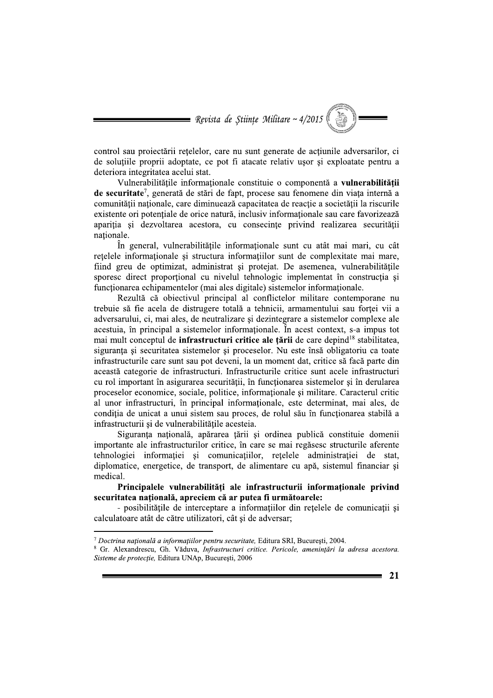$\blacksquare$  Revista de Științe Militare ~ 4/2015

control sau projectării retelelor, care nu sunt generate de actiunile adversarilor, ci de soluțiile proprii adoptate, ce pot fi atacate relativ ușor și exploatate pentru a deteriora integritatea acelui stat.

Vulnerabilitățile informaționale constituie o componentă a vulnerabilității de securitate<sup>7</sup>, generată de stări de fapt, procese sau fenomene din viața internă a comunității naționale, care diminuează capacitatea de reacție a societății la riscurile existente ori potentiale de orice natură, inclusiv informationale sau care favorizează apariția și dezvoltarea acestora, cu consecințe privind realizarea securității nationale.

În general, vulnerabilitățile informaționale sunt cu atât mai mari, cu cât retelele informationale si structura informatiilor sunt de complexitate mai mare, fiind greu de optimizat, administrat și protejat. De asemenea, vulnerabilitățile sporesc direct proportional cu nivelul tehnologic implementat în construcția și functionarea echipamentelor (mai ales digitale) sistemelor informationale.

Rezultă că obiectivul principal al conflictelor militare contemporane nu trebuie să fie acela de distrugere totală a tehnicii, armamentului sau fortei vii a adversarului, ci, mai ales, de neutralizare si dezintegrare a sistemelor complexe ale acestuia, în principal a sistemelor informationale. În acest context, s-a impus tot mai mult conceptul de infrastructuri critice ale țării de care depind<sup>18</sup> stabilitatea. siguranța și securitatea sistemelor și proceselor. Nu este însă obligatoriu ca toate infrastructurile care sunt sau pot deveni, la un moment dat, critice să facă parte din această categorie de infrastructuri. Infrastructurile critice sunt acele infrastructuri cu rol important în asigurarea securității, în funcționarea sistemelor și în derularea proceselor economice, sociale, politice, informationale și militare. Caracterul critic al unor infrastructuri, în principal informationale, este determinat, mai ales, de condiția de unicat a unui sistem sau proces, de rolul său în funcționarea stabilă a infrastructurii si de vulnerabilitățile acesteia.

Siguranța națională, apărarea țării și ordinea publică constituie domenii importante ale infrastructurilor critice, în care se mai regăsesc structurile aferente tehnologiei informației și comunicațiilor, rețelele administrației de stat, diplomatice, energetice, de transport, de alimentare cu apă, sistemul financiar și medical.

### Principalele vulnerabilităti ale infrastructurii informationale privind securitatea natională, apreciem că ar putea fi următoarele:

- posibilitățile de interceptare a informațiilor din rețelele de comunicații și calculatoare atât de către utilizatori, cât și de adversar;

 $\frac{7}{7}$  Doctrina națională a informațiilor pentru securitate, Editura SRI, București, 2004.

<sup>&</sup>lt;sup>8</sup> Gr. Alexandrescu, Gh. Văduva, *Infrastructuri critice. Pericole, amenințări la adresa acestora.* Sisteme de protecție, Editura UNAp, București, 2006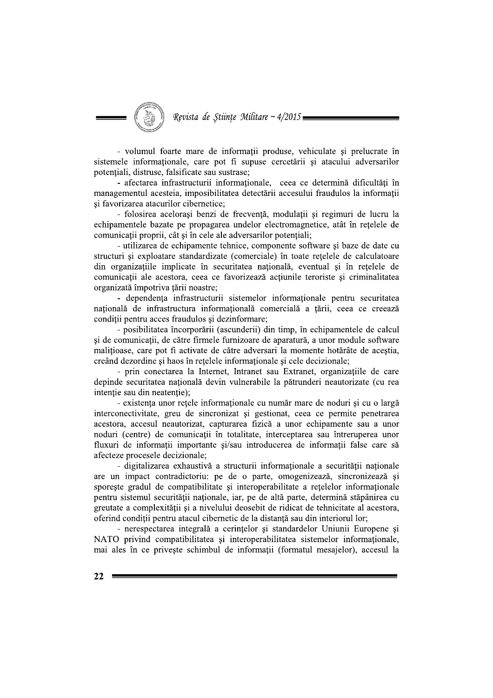- volumul foarte mare de informatii produse, vehiculate si prelucrate în sistemele informationale, care pot fi supuse cercetării și atacului adversarilor potentiali, distruse, falsificate sau sustrase;

- afectarea infrastructurii informaționale, ceea ce determină dificultăți în managementul acesteia, imposibilitatea detectării accesului fraudulos la informatii și favorizarea atacurilor cibernetice;

- folosirea acelorași benzi de frecvență, modulații și regimuri de lucru la echipamentele bazate pe propagarea undelor electromagnetice, atât în rețelele de comunicatii proprii, cât și în cele ale adversarilor potențiali;

- utilizarea de echipamente tehnice, componente software și baze de date cu structuri și exploatare standardizate (comerciale) în toate rețelele de calculatoare din organizațiile implicate în securitatea națională, eventual și în rețelele de comunicații ale acestora, ceea ce favorizează acțiunile teroriste și criminalitatea organizată împotriva tării noastre;

- dependenta infrastructurii sistemelor informationale pentru securitatea națională de infrastructura informațională comercială a țării, ceea ce creează condiții pentru acces fraudulos și dezinformare;

- posibilitatea încorporării (ascunderii) din timp, în echipamentele de calcul și de comunicații, de către firmele furnizoare de aparatură, a unor module software malitioase, care pot fi activate de către adversari la momente hotărâte de acestia. creând dezordine si haos în retelele informationale si cele decizionale:

- prin conectarea la Internet, Intranet sau Extranet, organizațiile de care depinde securitatea națională devin vulnerabile la pătrunderi neautorizate (cu rea intentie sau din neatentie);

- existența unor rețele informaționale cu număr mare de noduri și cu o largă interconectivitate, greu de sincronizat și gestionat, ceea ce permite penetrarea acestora, accesul neautorizat, capturarea fizică a unor echipamente sau a unor noduri (centre) de comunicații în totalitate, interceptarea sau întreruperea unor fluxuri de informatii importante si/sau introducerea de informatii false care să afecteze procesele decizionale;

- digitalizarea exhaustivă a structurii informaționale a securității naționale are un impact contradictoriu: pe de o parte, omogenizează, sincronizează și sporeste gradul de compatibilitate si interoperabilitate a retelelor informationale pentru sistemul securității naționale, iar, pe de altă parte, determină stăpânirea cu greutate a complexității și a nivelului deosebit de ridicat de tehnicitate al acestora, oferind condiții pentru atacul cibernetic de la distanță sau din interiorul lor;

- nerespectarea integrală a cerințelor și standardelor Uniunii Europene și NATO privind compatibilitatea și interoperabilitatea sistemelor informaționale, mai ales în ce priveste schimbul de informatii (formatul mesajelor), accesul la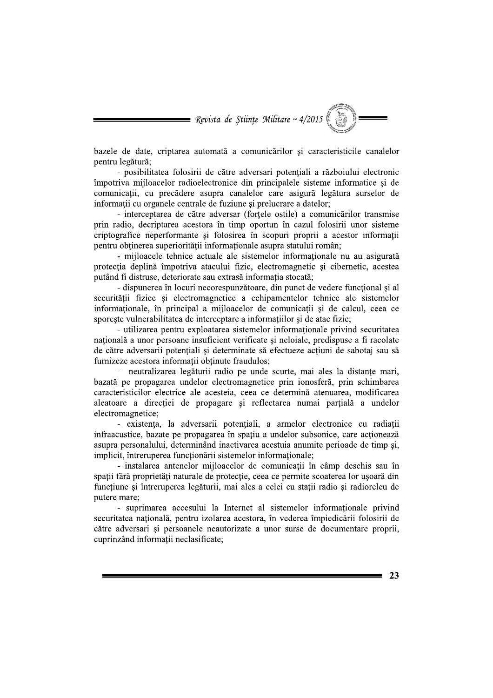= Revista de Științe Militare ~  $4/2015$ 

bazele de date, criptarea automată a comunicărilor si caracteristicile canalelor pentru legătură;

- posibilitatea folosirii de către adversari potentiali a războiului electronic împotriva mijloacelor radioelectronice din principalele sisteme informatice și de comunicatii, cu precădere asupra canalelor care asigură legătura surselor de informații cu organele centrale de fuziune și prelucrare a datelor;

- interceptarea de către adversar (fortele ostile) a comunicărilor transmise prin radio, decriptarea acestora în timp oportun în cazul folosirii unor sisteme criptografice neperformante si folosirea în scopuri proprii a acestor informații pentru obținerea superiorității informaționale asupra statului român;

- mijloacele tehnice actuale ale sistemelor informationale nu au asigurată protecția deplină împotriva atacului fizic, electromagnetic și cibernetic, acestea putând fi distruse, deteriorate sau extrasă informatia stocată;

- dispunerea în locuri necorespunzătoare, din punct de vedere functional și al securității fizice si electromagnetice a echipamentelor tehnice ale sistemelor informationale, în principal a mijloacelor de comunicatii si de calcul, ceea ce sporeste vulnerabilitatea de interceptare a informatiilor si de atac fizic;

- utilizarea pentru exploatarea sistemelor informationale privind securitatea națională a unor persoane insuficient verificate și neloiale, predispuse a fi racolate de către adversarii potențiali și determinate să efectueze acțiuni de sabotaj sau să furnizeze acestora informatii obtinute fraudulos:

- neutralizarea legăturii radio pe unde scurte, mai ales la distanțe mari, bazată pe propagarea undelor electromagnetice prin ionosferă, prin schimbarea caracteristicilor electrice ale acesteia, ceea ce determină atenuarea, modificarea aleatoare a directiei de propagare și reflectarea numai parțială a undelor electromagnetice;

- existența, la adversarii potențiali, a armelor electronice cu radiații infraacustice, bazate pe propagarea în spațiu a undelor subsonice, care acționează asupra personalului, determinând inactivarea acestuia anumite perioade de timp și, implicit, întreruperea funcționării sistemelor informaționale;

- instalarea antenelor mijloacelor de comunicații în câmp deschis sau în spații fără proprietăți naturale de protecție, ceea ce permite scoaterea lor ușoară din functiune si întreruperea legăturii, mai ales a celei cu stații radio și radioreleu de putere mare;

- suprimarea accesului la Internet al sistemelor informationale privind securitatea națională, pentru izolarea acestora, în vederea împiedicării folosirii de către adversari și persoanele neautorizate a unor surse de documentare proprii, cuprinzând informații neclasificate;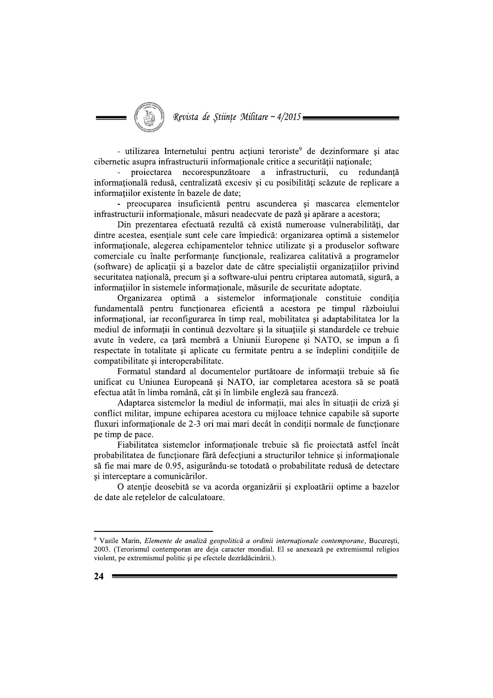Revista de Științe Militare ~ 4/2015

- utilizarea Internetului pentru actiuni teroriste<sup>9</sup> de dezinformare si atac cibernetic asupra infrastructurii informaționale critice a securității naționale;

projectarea necorespunzătoare a infrastructurii. cu redundantă informatională redusă, centralizată excesiv și cu posibilități scăzute de replicare a informatiilor existente în bazele de date:

- preocuparea insuficientă pentru ascunderea și mascarea elementelor infrastructurii informationale, măsuri neadecvate de pază și apărare a acestora;

Din prezentarea efectuată rezultă că există numeroase vulnerabilități, dar dintre acestea, esentiale sunt cele care împiedică: organizarea optimă a sistemelor informationale, alegerea echipamentelor tehnice utilizate si a produselor software comerciale cu înalte performanțe funcționale, realizarea calitativă a programelor (software) de aplicații și a bazelor date de către specialiștii organizațiilor privind securitatea națională, precum și a software-ului pentru criptarea automată, sigură, a informatiilor în sistemele informationale, măsurile de securitate adoptate.

Organizarea optimă a sistemelor informaționale constituie condiția fundamentală pentru funcționarea eficientă a acestora pe timpul războiului informational, iar reconfigurarea în timp real, mobilitatea și adaptabilitatea lor la mediul de informații în continuă dezvoltare și la situațiile și standardele ce trebuie avute în vedere, ca țară membră a Uniunii Europene și NATO, se impun a fi respectate în totalitate și aplicate cu fermitate pentru a se îndeplini conditiile de compatibilitate si interoperabilitate.

Formatul standard al documentelor purtătoare de informații trebuie să fie unificat cu Uniunea Europeană și NATO, iar completarea acestora să se poată efectua atât în limba română, cât și în limbile engleză sau franceză.

Adaptarea sistemelor la mediul de informații, mai ales în situații de criză și conflict militar, impune echiparea acestora cu mijloace tehnice capabile să suporte fluxuri informationale de 2-3 ori mai mari decât în conditii normale de functionare pe timp de pace.

Fiabilitatea sistemelor informaționale trebuie să fie proiectată astfel încât probabilitatea de funcționare fără defecțiuni a structurilor tehnice și informaționale să fie mai mare de 0.95, asigurându-se totodată o probabilitate redusă de detectare și interceptare a comunicărilor.

O atentie deosebită se va acorda organizării și exploatării optime a bazelor de date ale retelelor de calculatoare.

<sup>&</sup>lt;sup>9</sup> Vasile Marin, Elemente de analiză geopolitică a ordinii internaționale contemporane, Bucuresti, 2003. (Terorismul contemporan are deja caracter mondial. El se anexează pe extremismul religios violent, pe extremismul politic și pe efectele dezrădăcinării.).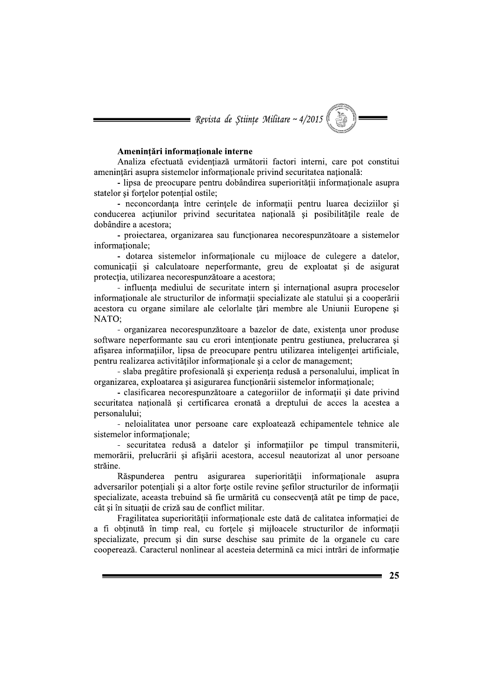

### Amenintări informationale interne

Analiza efectuată evidențiază următorii factori interni, care pot constitui amenințări asupra sistemelor informaționale privind securitatea națională:

- lipsa de preocupare pentru dobândirea superiorității informaționale asupra statelor si fortelor potential ostile:

- neconcordanța între cerințele de informații pentru luarea deciziilor și conducerea actiunilor privind securitatea natională și posibilitătile reale de dobândire a acestora:

- projectarea, organizarea sau functionarea necorespunzătoare a sistemelor informationale:

- dotarea sistemelor informationale cu mijloace de culegere a datelor, comunicații și calculatoare neperformante, greu de exploatat și de asigurat protecția, utilizarea necorespunzătoare a acestora;

- influenta mediului de securitate intern si international asupra proceselor informationale ale structurilor de informatii specializate ale statului si a cooperării acestora cu organe similare ale celorlalte tări membre ale Uniunii Europene si NATO:

- organizarea necorespunzătoare a bazelor de date, existența unor produse software neperformante sau cu erori intenționate pentru gestiunea, prelucrarea și afișarea informațiilor, lipsa de preocupare pentru utilizarea inteligenței artificiale, pentru realizarea activitătilor informationale și a celor de management;

- slaba pregătire profesională și experiența redusă a personalului, implicat în organizarea, exploatarea și asigurarea funcționării sistemelor informaționale;

- clasificarea necorespunzătoare a categoriilor de informatii și date privind securitatea natională și certificarea eronată a dreptului de acces la acestea a personalului:

- nelojalitatea unor persoane care exploatează echipamentele tehnice ale sistemelor informationale:

- securitatea redusă a datelor și informațiilor pe timpul transmiterii, memorării, prelucrării și afișării acestora, accesul neautorizat al unor persoane străine.

Răspunderea pentru asigurarea superiorității informaționale asupra adversarilor potentiali si a altor forte ostile revine sefilor structurilor de informatii specializate, aceasta trebuind să fie urmărită cu consecvență atât pe timp de pace, cât și în situații de criză sau de conflict militar.

Fragilitatea superiorității informaționale este dată de calitatea informației de a fi obținută în timp real, cu forțele și mijloacele structurilor de informații specializate, precum și din surse deschise sau primite de la organele cu care cooperează. Caracterul nonlinear al acesteia determină ca mici intrări de informatie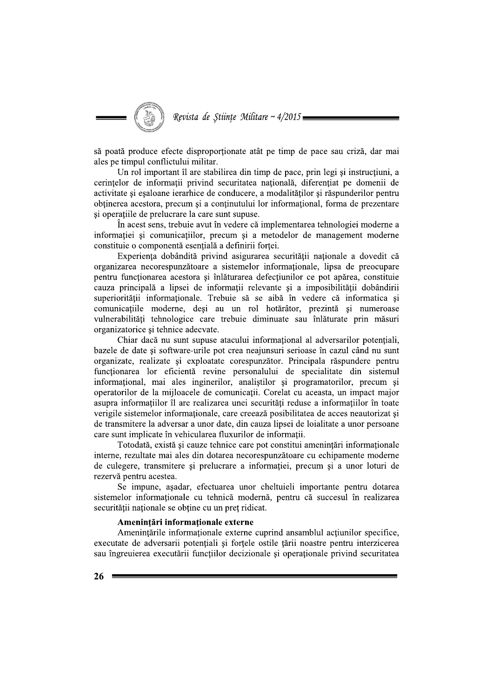Revista de Științe Militare ~ 4/2015 =

să poată produce efecte disproportionate atât pe timp de pace sau criză, dar mai ales pe timpul conflictului militar.

Un rol important îl are stabilirea din timp de pace, prin legi și instrucțiuni, a cerintelor de informații privind securitatea națională, diferențiat pe domenii de activitate si esaloane ierarhice de conducere, a modalitătilor si răspunderilor pentru obținerea acestora, precum și a conținutului lor informațional, forma de prezentare si operatiile de prelucrare la care sunt supuse.

În acest sens, trebuie avut în vedere că implementarea tehnologiei moderne a informatiei si comunicatiilor, precum si a metodelor de management moderne constituie o componentă esențială a definirii forței.

Experiența dobândită privind asigurarea securității naționale a dovedit că organizarea necorespunzătoare a sistemelor informaționale, lipsa de preocupare pentru funcționarea acestora și înlăturarea defecțiunilor ce pot apărea, constituie cauza principală a lipsei de informatii relevante și a imposibilității dobândirii superiorității informaționale. Trebuie să se aibă în vedere că informatica și comunicațiile moderne, deși au un rol hotărâtor, prezintă și numeroase vulnerabilități tehnologice care trebuie diminuate sau înlăturate prin măsuri organizatorice si tehnice adecvate.

Chiar dacă nu sunt supuse atacului informațional al adversarilor potențiali, bazele de date și software-urile pot crea neajunsuri serioase în cazul când nu sunt organizate, realizate și exploatate corespunzător. Principala răspundere pentru funcționarea lor eficientă revine personalului de specialitate din sistemul informational, mai ales inginerilor, analistilor și programatorilor, precum și operatorilor de la mijloacele de comunicații. Corelat cu aceasta, un impact major asupra informațiilor îl are realizarea unei securități reduse a informațiilor în toate verigile sistemelor informationale, care creează posibilitatea de acces neautorizat și de transmitere la adversar a unor date, din cauza lipsei de loialitate a unor persoane care sunt implicate în vehicularea fluxurilor de informații.

Totodată, există și cauze tehnice care pot constitui amenințări informaționale interne, rezultate mai ales din dotarea necorespunzătoare cu echipamente moderne de culegere, transmitere si prelucrare a informatiei, precum si a unor loturi de rezervă pentru acestea.

Se impune, asadar, efectuarea unor cheltuieli importante pentru dotarea sistemelor informationale cu tehnică modernă, pentru că succesul în realizarea securității naționale se obține cu un preț ridicat.

### Amenințări informaționale externe

Amenintările informationale externe cuprind ansamblul actiunilor specifice. executate de adversarii potențiali și forțele ostile țării noastre pentru interzicerea sau îngreujerea executării functiilor decizionale și operationale privind securitatea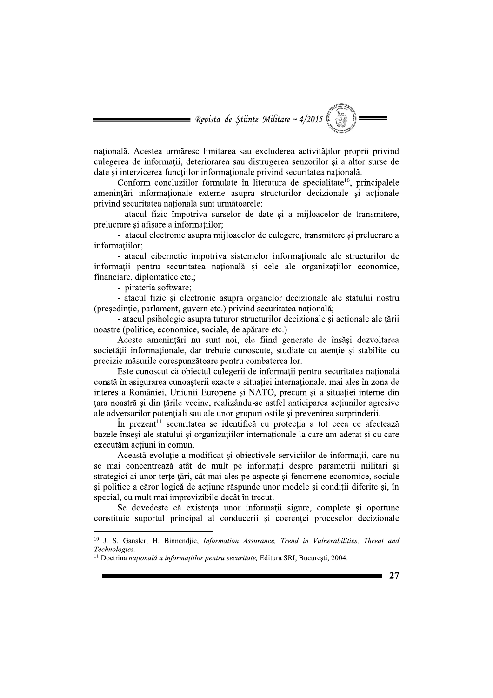= Revista de Științe Militare ~  $4/2015$ 

natională. Acestea urmăresc limitarea sau excluderea activitătilor proprii privind culegerea de informații, deteriorarea sau distrugerea senzorilor și a altor surse de date si interzicerea functiilor informationale privind securitatea natională.

Conform concluziilor formulate în literatura de specialitate<sup>10</sup>, principalele amenintări informationale externe asupra structurilor decizionale si actionale privind securitatea națională sunt următoarele:

- atacul fizic împotriva surselor de date și a mijloacelor de transmitere, prelucrare și afișare a informațiilor;

- atacul electronic asupra mijloacelor de culegere, transmitere si prelucrare a informatiilor;

- atacul cibernetic împotriva sistemelor informationale ale structurilor de informații pentru securitatea națională și cele ale organizațiilor economice, financiare, diplomatice etc.;

- pirateria software;

- atacul fizic si electronic asupra organelor decizionale ale statului nostru (președinție, parlament, guvern etc.) privind securitatea națională;

- atacul psihologic asupra tuturor structurilor decizionale si actionale ale tării noastre (politice, economice, sociale, de apărare etc.)

Aceste amenințări nu sunt noi, ele fiind generate de însăși dezvoltarea societății informationale, dar trebuie cunoscute, studiate cu atentie si stabilite cu precizie măsurile corespunzătoare pentru combaterea lor.

Este cunoscut că obiectul culegerii de informații pentru securitatea națională constă în asigurarea cunoașterii exacte a situației internaționale, mai ales în zona de interes a României, Uniunii Europene și NATO, precum și a situației interne din tara noastră și din țările vecine, realizându-se astfel anticiparea acțiunilor agresive ale adversarilor potentiali sau ale unor grupuri ostile și prevenirea surprinderii.

În prezent<sup>11</sup> securitatea se identifică cu protecția a tot ceea ce afectează bazele înseși ale statului și organizațiilor internaționale la care am aderat și cu care executăm acțiuni în comun.

Această evoluție a modificat și obiectivele serviciilor de informații, care nu se mai concentrează atât de mult pe informații despre parametrii militari și strategici ai unor terțe țări, cât mai ales pe aspecte și fenomene economice, sociale si politice a căror logică de actiune răspunde unor modele și condiții diferite și, în special, cu mult mai imprevizibile decât în trecut.

Se dovedește că existența unor informații sigure, complete și oportune constituie suportul principal al conducerii și coerenței proceselor decizionale

<sup>&</sup>lt;sup>10</sup> J. S. Gansler, H. Binnendjic, *Information Assurance*, *Trend in Vulnerabilities*, *Threat and* Technologies.

<sup>&</sup>lt;sup>11</sup> Doctrina națională a informațiilor pentru securitate, Editura SRI, București, 2004.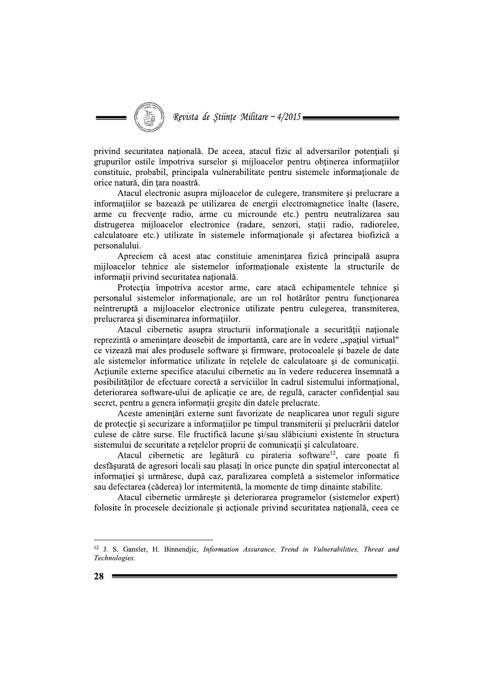privind securitatea natională. De aceea, atacul fizic al adversarilor potentiali și grupurilor ostile împotriva surselor și mijloacelor pentru obținerea informațiilor constituie, probabil, principala vulnerabilitate pentru sistemele informationale de orice natură, din țara noastră.

Atacul electronic asupra miiloacelor de culegere, transmitere si prelucrare a informațiilor se bazează pe utilizarea de energii electromagnetice înalte (lasere, arme cu frecvențe radio, arme cu microunde etc.) pentru neutralizarea sau distrugerea mijloacelor electronice (radare, senzori, stații radio, radiorelee, calculatoare etc.) utilizate în sistemele informationale si afectarea biofizică a personalului.

Apreciem că acest atac constituie amenințarea fizică principală asupra mijloacelor tehnice ale sistemelor informationale existente la structurile de informatii privind securitatea natională.

Protectia împotriva acestor arme, care atacă echipamentele tehnice si personalul sistemelor informationale, are un rol hotărâtor pentru functionarea neîntreruptă a mijloacelor electronice utilizate pentru culegerea, transmiterea, prelucrarea și diseminarea informațiilor.

Atacul cibernetic asupra structurii informaționale a securității naționale reprezintă o amenințare deosebit de importantă, care are în vedere "spațiul virtual" ce vizează mai ales produsele software și firmware, protocoalele și bazele de date ale sistemelor informatice utilizate în retelele de calculatoare si de comunicatii. Actiunile externe specifice atacului cibernetic au în vedere reducerea însemnată a posibilităților de efectuare corectă a serviciilor în cadrul sistemului informațional, deteriorarea software-ului de aplicație ce are, de regulă, caracter confidențial sau secret, pentru a genera informații greșite din datele prelucrate.

Aceste amenintări externe sunt favorizate de neaplicarea unor reguli sigure de protecție și securizare a informațiilor pe timpul transmiterii și prelucrării datelor culese de către surse. Ele fructifică lacune și/sau slăbiciuni existente în structura sistemului de securitate a rețelelor proprii de comunicații și calculatoare.

Atacul cibernetic are legătură cu pirateria software<sup>12</sup>, care poate fi desfășurată de agresori locali sau plasați în orice puncte din spațiul interconectat al informației și urmăresc, după caz, paralizarea completă a sistemelor informatice sau defectarea (căderea) lor intermitentă, la momente de timp dinainte stabilite.

Atacul cibernetic urmărește și deteriorarea programelor (sistemelor expert) folosite în procesele decizionale și acționale privind securitatea națională, ceea ce

<sup>&</sup>lt;sup>12</sup> J. S. Gansler, H. Binnendjic, *Information Assurance*, *Trend in Vulnerabilities*, *Threat and* Technologies.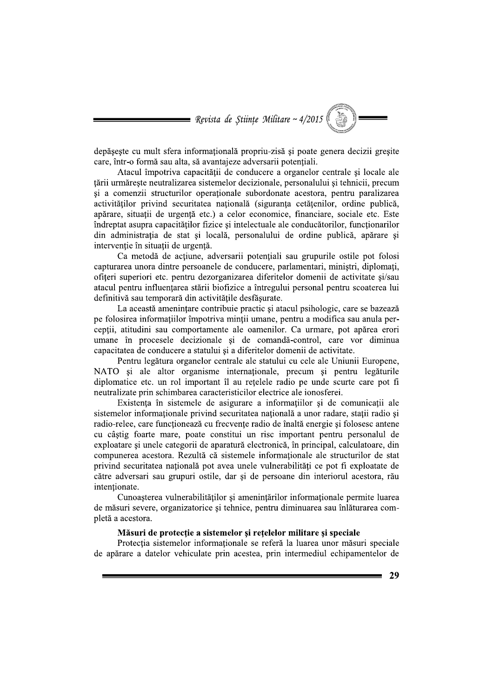= Revista de Științe Militare ~  $4/2015$ 

depăseste cu mult sfera informațională propriu-zisă și poate genera decizii greșite care, într-o formă sau alta, să avantajeze adversarii potențiali.

Atacul împotriva capacității de conducere a organelor centrale și locale ale tării urmărește neutralizarea sistemelor decizionale, personalului și tehnicii, precum si a comenzii structurilor operationale subordonate acestora, pentru paralizarea activităților privind securitatea națională (siguranța cetățenilor, ordine publică, apărare, situatii de urgență etc.) a celor economice, financiare, sociale etc. Este îndreptat asupra capacităților fizice și intelectuale ale conducătorilor, funcționarilor din administratia de stat si locală, personalului de ordine publică, apărare si intervenție în situații de urgență.

Ca metodă de acțiune, adversarii potențiali sau grupurile ostile pot folosi capturarea unora dintre persoanele de conducere, parlamentari, miniștri, diplomați, ofițeri superiori etc. pentru dezorganizarea diferitelor domenii de activitate și/sau atacul pentru influentarea stării biofizice a întregului personal pentru scoaterea lui definitivă sau temporară din activitățile desfăsurate.

La această amenintare contribuie practic și atacul psihologic, care se bazează pe folosirea informatiilor împotriva mintii umane, pentru a modifica sau anula perceptii, atitudini sau comportamente ale oamenilor. Ca urmare, pot apărea erori umane în procesele decizionale și de comandă-control, care vor diminua capacitatea de conducere a statului si a diferitelor domenii de activitate.

Pentru legătura organelor centrale ale statului cu cele ale Uniunii Europene. NATO și ale altor organisme internaționale, precum și pentru legăturile diplomatice etc. un rol important îl au retelele radio pe unde scurte care pot fi neutralizate prin schimbarea caracteristicilor electrice ale ionosferei.

Existenta în sistemele de asigurare a informațiilor și de comunicații ale sistemelor informationale privind securitatea natională a unor radare, stații radio și radio-relee, care functionează cu frecvente radio de înaltă energie și folosesc antene cu câștig foarte mare, poate constitui un risc important pentru personalul de exploatare și unele categorii de aparatură electronică, în principal, calculatoare, din compunerea acestora. Rezultă că sistemele informaționale ale structurilor de stat privind securitatea națională pot avea unele vulnerabilități ce pot fi exploatate de către adversari sau grupuri ostile, dar și de persoane din interiorul acestora, rău intentionate.

Cunoașterea vulnerabilităților și amenințărilor informaționale permite luarea de măsuri severe, organizatorice și tehnice, pentru diminuarea sau înlăturarea completă a acestora.

#### Măsuri de protectie a sistemelor si retelelor militare si speciale

Protecția sistemelor informaționale se referă la luarea unor măsuri speciale de apărare a datelor vehiculate prin acestea, prin intermediul echipamentelor de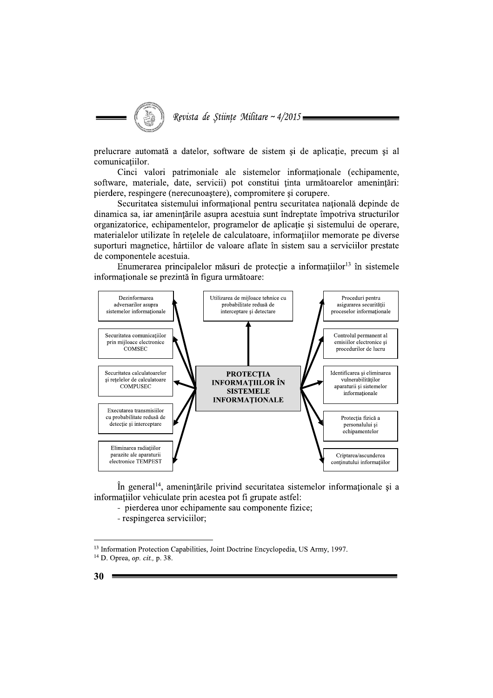

prelucrare automată a datelor, software de sistem și de aplicatie, precum și al comunicatiilor.

Cinci valori patrimoniale ale sistemelor informationale (echipamente, software, materiale, date, servicii) pot constitui ținta următoarelor amenințări: pierdere, respingere (nerecunoastere), compromitere si corupere.

Securitatea sistemului informațional pentru securitatea națională depinde de dinamica sa, iar amenințările asupra acestuia sunt îndreptate împotriva structurilor organizatorice, echipamentelor, programelor de aplicație și sistemului de operare, materialelor utilizate în retelele de calculatoare, informatiilor memorate pe diverse suporturi magnetice, hârtiilor de valoare aflate în sistem sau a serviciilor prestate de componentele acestuia.

Enumerarea principalelor măsuri de protecție a informațiilor<sup>13</sup> în sistemele informaționale se prezintă în figura următoare:



În general<sup>14</sup>, amenințările privind securitatea sistemelor informationale și a informatiilor vehiculate prin acestea pot fi grupate astfel:

- pierderea unor echipamente sau componente fizice;

- respingerea serviciilor;

<sup>&</sup>lt;sup>13</sup> Information Protection Capabilities, Joint Doctrine Encyclopedia, US Army, 1997. <sup>14</sup> D. Oprea, op. cit., p. 38.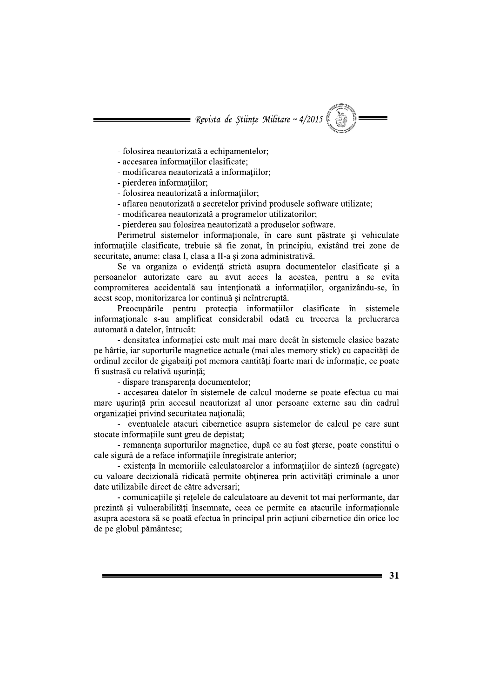= Revista de Științe Militare ~  $4/2015$ 

- folosirea neautorizată a echipamentelor:

- accesarea informațiilor clasificate;
- modificarea neautorizată a informatiilor:
- pierderea informatiilor;
- folosirea neautorizată a informatiilor;
- aflarea neautorizată a secretelor privind produsele software utilizate;
- modificarea neautorizată a programelor utilizatorilor;
- pierderea sau folosirea neautorizată a produselor software.

Perimetrul sistemelor informationale, în care sunt păstrate și vehiculate informațiile clasificate, trebuie să fie zonat, în principiu, existând trei zone de securitate, anume: clasa I, clasa a II-a și zona administrativă.

Se va organiza o evidență strictă asupra documentelor clasificate și a persoanelor autorizate care au avut acces la acestea, pentru a se evita compromiterea accidentală sau intentionată a informatiilor, organizându-se, în acest scop, monitorizarea lor continuă și neîntreruptă.

Preocupările pentru protecția informațiilor clasificate în sistemele informationale s-au amplificat considerabil odată cu trecerea la prelucrarea automată a datelor, întrucât:

- densitatea informației este mult mai mare decât în sistemele clasice bazate pe hârtie, iar suporturile magnetice actuale (mai ales memory stick) cu capacități de ordinul zecilor de gigabaiti pot memora cantităti foarte mari de informatie, ce poate fi sustrasă cu relativă usurință;

- dispare transparența documentelor;

- accesarea datelor în sistemele de calcul moderne se poate efectua cu mai mare usurință prin accesul neautorizat al unor persoane externe sau din cadrul organizatiei privind securitatea natională;

- eventualele atacuri cibernetice asupra sistemelor de calcul pe care sunt stocate informatiile sunt greu de depistat:

- remanenta suporturilor magnetice, după ce au fost sterse, poate constitui o cale sigură de a reface informațiile înregistrate anterior;

- existența în memoriile calculatoarelor a informațiilor de sinteză (agregate) cu valoare decizională ridicată permite obținerea prin activități criminale a unor date utilizabile direct de către adversari:

- comunicațiile și rețelele de calculatoare au devenit tot mai performante, dar prezintă și vulnerabilități însemnate, ceea ce permite ca atacurile informaționale asupra acestora să se poată efectua în principal prin acțiuni cibernetice din orice loc de pe globul pământesc;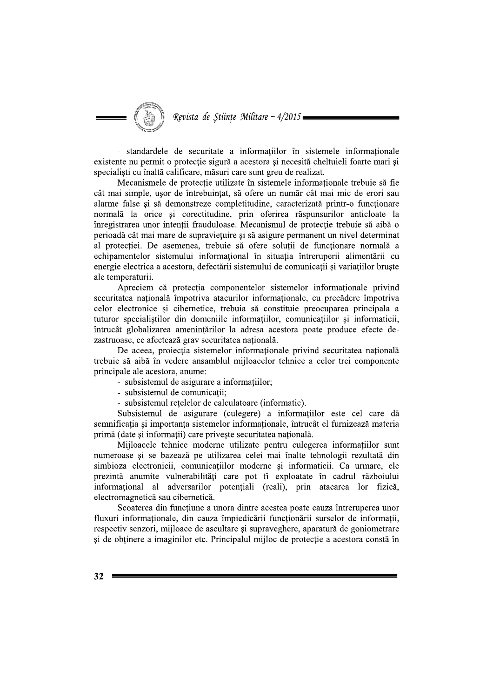Revista de Științe Militare ~ 4/2015 =

- standardele de securitate a informatiilor în sistemele informationale existente nu permit o protecție sigură a acestora și necesită cheltuieli foarte mari și specialisti cu înaltă calificare, măsuri care sunt greu de realizat.

Mecanismele de protecție utilizate în sistemele informaționale trebuie să fie cât mai simple, usor de întrebuintat, să ofere un număr cât mai mic de erori sau alarme false și să demonstreze completitudine, caracterizată printr-o funcționare normală la orice si corectitudine, prin oferirea răspunsurilor anticloate la înregistrarea unor intenții frauduloase. Mecanismul de protecție trebuie să aibă o perioadă cât mai mare de supravietuire și să asigure permanent un nivel determinat al protecției. De asemenea, trebuie să ofere soluții de funcționare normală a echipamentelor sistemului informational în situația întreruperii alimentării cu energie electrica a acestora, defectării sistemului de comunicații și variațiilor bruște ale temperaturii.

Apreciem că protectia componentelor sistemelor informationale privind securitatea natională împotriva atacurilor informationale, cu precădere împotriva celor electronice și cibernetice, trebuia să constituie preocuparea principala a tuturor specialistilor din domeniile informatiilor, comunicatiilor si informaticii, întrucât globalizarea amenințărilor la adresa acestora poate produce efecte dezastruoase, ce afectează grav securitatea națională.

De aceea, proiecția sistemelor informaționale privind securitatea națională trebuie să aibă în vedere ansamblul miiloacelor tehnice a celor trei componente principale ale acestora, anume:

- subsistemul de asigurare a informatiilor;
- subsistemul de comunicatii;
- subsistemul retelelor de calculatoare (informatic).

Subsistemul de asigurare (culegere) a informațiilor este cel care dă semnificatia si importanta sistemelor informationale, întrucât el furnizează materia primă (date și informații) care privește securitatea națională.

Mijloacele tehnice moderne utilizate pentru culegerea informatiilor sunt numeroase și se bazează pe utilizarea celei mai înalte tehnologii rezultată din simbioza electronicii, comunicațiilor moderne și informaticii. Ca urmare, ele prezintă anumite vulnerabilități care pot fi exploatate în cadrul războiului informational al adversarilor potentiali (reali), prin atacarea lor fizică, electromagnetică sau cibernetică.

Scoaterea din funcțiune a unora dintre acestea poate cauza întreruperea unor fluxuri informaționale, din cauza împiedicării funcționării surselor de informații, respectiv senzori, mijloace de ascultare și supraveghere, aparatură de goniometrare și de obținere a imaginilor etc. Principalul mijloc de protecție a acestora constă în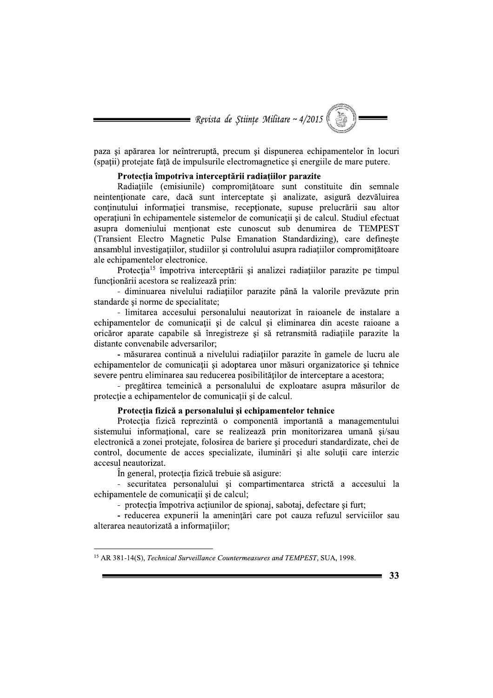

paza si apărarea lor neîntreruptă, precum și dispunerea echipamentelor în locuri (spații) protejate față de impulsurile electromagnetice și energiile de mare putere.

### Protecția împotriva interceptării radiațiilor parazite

Radiațiile (emisiunile) compromițătoare sunt constituite din semnale neintenționate care, dacă sunt interceptate și analizate, asigură dezvăluirea continutului informatiei transmise, receptionate, supuse prelucrării sau altor operațiuni în echipamentele sistemelor de comunicații și de calcul. Studiul efectuat asupra domeniului menționat este cunoscut sub denumirea de TEMPEST (Transient Electro Magnetic Pulse Emanation Standardizing), care defineste ansamblul investigatiilor, studiilor si controlului asupra radiatiilor compromitătoare ale echipamentelor electronice.

Protecția<sup>15</sup> împotriva interceptării și analizei radiațiilor parazite pe timpul functionării acestora se realizează prin:

- diminuarea nivelului radiatiilor parazite până la valorile prevăzute prin standarde și norme de specialitate;

- limitarea accesului personalului neautorizat în raioanele de instalare a echipamentelor de comunicatii si de calcul si eliminarea din aceste raioane a oricăror aparate capabile să înregistreze și să retransmită radiatiile parazite la distante convenabile adversarilor:

- măsurarea continuă a nivelului radiațiilor parazite în gamele de lucru ale echipamentelor de comunicații și adoptarea unor măsuri organizatorice și tehnice severe pentru eliminarea sau reducerea posibilităților de interceptare a acestora;

- pregătirea temeinică a personalului de exploatare asupra măsurilor de protecție a echipamentelor de comunicații și de calcul.

### Protecția fizică a personalului și echipamentelor tehnice

Protectia fizică reprezintă o componentă importantă a managementului sistemului informational, care se realizează prin monitorizarea umană si/sau electronică a zonei proteiate, folosirea de bariere și proceduri standardizate, chei de control, documente de acces specializate, iluminări și alte soluții care interzic accesul neautorizat.

În general, protecția fizică trebuie să asigure:

- securitatea personalului și compartimentarea strictă a accesului la echipamentele de comunicații și de calcul;

- protectia împotriva actiunilor de spionaj, sabotaj, defectare si furt;

- reducerea expunerii la amenințări care pot cauza refuzul serviciilor sau alterarea neautorizată a informatiilor;

<sup>&</sup>lt;sup>15</sup> AR 381-14(S), Technical Surveillance Countermeasures and TEMPEST, SUA, 1998.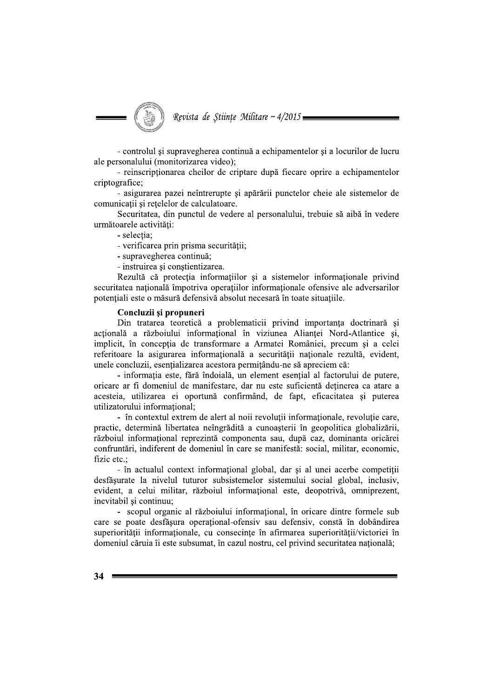

- controlul si supravegherea continuă a echipamentelor și a locurilor de lucru ale personalului (monitorizarea video);

- reinscriptionarea cheilor de criptare după fiecare oprire a echipamentelor criptografice:

- asigurarea pazei neîntrerupte și apărării punctelor cheie ale sistemelor de comunicații și rețelelor de calculatoare.

Securitatea, din punctul de vedere al personalului, trebuie să aibă în vedere următoarele activități:

- selectia:

- verificarea prin prisma securității;

- supravegherea continuă;

- instruirea și conștientizarea.

Rezultă că protecția informațiilor și a sistemelor informaționale privind securitatea natională împotriva operatiilor informationale ofensive ale adversarilor potentiali este o măsură defensivă absolut necesară în toate situațiile.

### Concluzii și propuneri

Din tratarea teoretică a problematicii privind importanta doctrinară și actională a războiului informational în viziunea Aliantei Nord-Atlantice și, implicit, în conceptia de transformare a Armatei României, precum și a celei referitoare la asigurarea informațională a securității naționale rezultă, evident, unele concluzii, esențializarea acestora permițându-ne să apreciem că:

- informatia este, fără îndoială, un element esential al factorului de putere, oricare ar fi domeniul de manifestare, dar nu este suficientă deținerea ca atare a acesteia, utilizarea ei oportună confirmând, de fapt, eficacitatea și puterea utilizatorului informational:

- în contextul extrem de alert al noii revoluții informaționale, revoluție care, practic, determină libertatea neîngrădită a cunoașterii în geopolitica globalizării, războiul informațional reprezintă componenta sau, după caz, dominanta oricărei confruntări, indiferent de domeniul în care se manifestă: social, militar, economic, fizic etc.:

- în actualul context informational global, dar și al unei acerbe competitii desfăsurate la nivelul tuturor subsistemelor sistemului social global, inclusiv, evident, a celui militar, războiul informational este, deopotrivă, omniprezent, inevitabil și continuu;

- scopul organic al războiului informational, în oricare dintre formele sub care se poate desfăsura operational-ofensiv sau defensiv, constă în dobândirea superiorității informationale, cu consecinte în afirmarea superiorității/victoriei în domeniul căruia îi este subsumat, în cazul nostru, cel privind securitatea națională;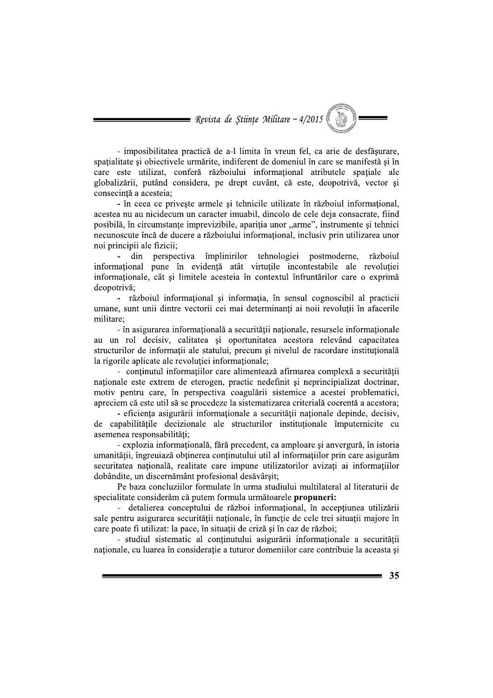= Revista de Științe Militare ~  $4/2015$ 

- imposibilitatea practică de a-l limita în vreun fel, ca arie de desfăsurare, spațialitate și obiectivele urmărite, indiferent de domeniul în care se manifestă și în care este utilizat, conferă războiului informațional atributele spațiale ale globalizării, putând considera, pe drept cuvânt, că este, deopotrivă, vector și consecintă a acesteia:

- în ceea ce privește armele și tehnicile utilizate în războiul informațional, acestea nu au nicidecum un caracter imuabil, dincolo de cele deja consacrate, fiind posibilă, în circumstanțe imprevizibile, apariția unor "arme", instrumente și tehnici necunoscute încă de ducere a războiului informational, inclusiv prin utilizarea unor noi principii ale fizicii;

din perspectiva împlinirilor tehnologiei postmoderne, războiul  $\mathbf{r}$ informațional pune în evidență atât virtuțile incontestabile ale revoluției informationale, cât și limitele acesteia în contextul înfruntărilor care o exprimă deopotrivă:

- războiul informational și informatia, în sensul cognoscibil al practicii umane, sunt unii dintre vectorii cei mai determinanti ai noii revolutii în afacerile militare:

- în asigurarea informațională a securității naționale, resursele informaționale au un rol decisiv, calitatea și oportunitatea acestora relevând capacitatea structurilor de informatii ale statului, precum si nivelul de racordare institutională la rigorile aplicate ale revolutiei informationale:

- conținutul informațiilor care alimentează afirmarea complexă a securității naționale este extrem de eterogen, practic nedefinit și neprincipializat doctrinar, motiv pentru care, în perspectiva coagulării sistemice a acestei problematici, apreciem că este util să se procedeze la sistematizarea criterială coerentă a acestora;

- eficienta asigurării informationale a securității nationale depinde, decisiv, de capabilitățile decizionale ale structurilor institutionale împuternicite cu asemenea responsabilități:

- explozia informațională, fără precedent, ca amploare și anvergură, în istoria umanității, îngreuiază obținerea conținutului util al informațiilor prin care asigurăm securitatea natională, realitate care impune utilizatorilor avizați ai informațiilor dobândite, un discernământ profesional desăvârșit;

Pe baza concluziilor formulate în urma studiului multilateral al literaturii de specialitate considerăm că putem formula următoarele propuneri:

- detalierea conceptului de război informațional, în accepțiunea utilizării sale pentru asigurarea securității naționale, în funcție de cele trei situații majore în care poate fi utilizat: la pace, în situații de criză și în caz de război;

- studiul sistematic al conținutului asigurării informaționale a securității nationale, cu luarea în consideratie a tuturor domeniilor care contribuie la aceasta si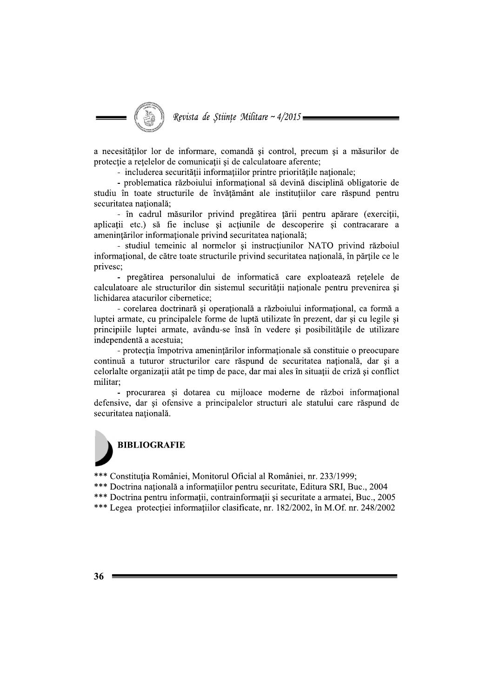Revista de Stiințe Militare ~  $4/2015$ 

a necesităților lor de informare, comandă și control, precum și a măsurilor de protecție a rețelelor de comunicații și de calculatoare aferente;

- includerea securității informatiilor printre prioritățile nationale:

- problematica războiului informațional să devină disciplină obligatorie de studiu în toate structurile de învățământ ale instituțiilor care răspund pentru securitatea natională:

- în cadrul măsurilor privind pregătirea tării pentru apărare (exercitii, aplicații etc.) să fie incluse și acțiunile de descoperire și contracarare a amenintărilor informaționale privind securitatea națională;

- studiul temeinic al normelor și instrucțiunilor NATO privind războiul informational, de către toate structurile privind securitatea națională, în părțile ce le privesc;

- pregătirea personalului de informatică care exploatează rețelele de calculatoare ale structurilor din sistemul securității nationale pentru prevenirea si lichidarea atacurilor cibernetice:

- corelarea doctrinară și operațională a războiului informațional, ca formă a luptei armate, cu principalele forme de luptă utilizate în prezent, dar și cu legile și principiile luptei armate, avându-se însă în vedere și posibilitățile de utilizare independentă a acestuia;

- protectia împotriva amenintărilor informationale să constituie o preocupare continuă a tuturor structurilor care răspund de securitatea natională, dar si a celorialte organizații atât pe timp de pace, dar mai ales în situații de criză și conflict militar:

- procurarea și dotarea cu mijloace moderne de război informațional defensive, dar și ofensive a principalelor structuri ale statului care răspund de securitatea natională.

# **BIBLIOGRAFIE**

\*\*\* Constituția României, Monitorul Oficial al României, nr. 233/1999;

\*\*\* Doctrina natională a informațiilor pentru securitate, Editura SRI, Buc., 2004

\*\*\* Doctrina pentru informații, contrainformații și securitate a armatei, Buc., 2005

\*\*\* Legea protectiei informatiilor clasificate, nr. 182/2002, în M.Of. nr. 248/2002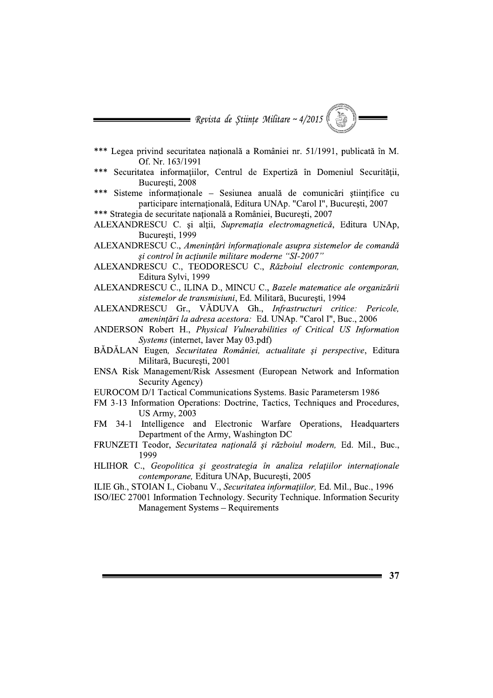

- Legea privind securitatea natională a României nr. 51/1991, publicată în M. Of. Nr. 163/1991
- Securitatea informațiilor, Centrul de Expertiză în Domeniul Securității, Bucuresti, 2008
- Sisteme informationale Sesiunea anuală de comunicări stiintifice cu  $***$ participare internațională, Editura UNAp. "Carol I", București, 2007
- \*\*\* Strategia de securitate natională a României, București, 2007
- ALEXANDRESCU C. și alții, Supremația electromagnetică, Editura UNAp, Bucuresti, 1999

ALEXANDRESCU C., Amenințări informaționale asupra sistemelor de comandă și control în acțiunile militare moderne "SI-2007"

- ALEXANDRESCU C., TEODORESCU C., Războiul electronic contemporan, Editura Sylvi, 1999
- ALEXANDRESCU C., ILINA D., MINCU C., Bazele matematice ale organizării sistemelor de transmisiuni, Ed. Militară, București, 1994
- ALEXANDRESCU Gr., VĂDUVA Gh., Infrastructuri critice: Pericole, amenințări la adresa acestora: Ed. UNAp. "Carol I", Buc., 2006
- ANDERSON Robert H., Physical Vulnerabilities of Critical US Information Systems (internet, Iaver May 03.pdf)
- BĂDĂLAN Eugen, Securitatea României, actualitate și perspective, Editura Militară, Bucuresti, 2001
- ENSA Risk Management/Risk Assesment (European Network and Information Security Agency)
- EUROCOM D/1 Tactical Communications Systems. Basic Parametersm 1986
- FM 3-13 Information Operations: Doctrine, Tactics, Techniques and Procedures, **US Army, 2003**
- FM 34-1 Intelligence and Electronic Warfare Operations, Headquarters Department of the Army, Washington DC
- FRUNZETI Teodor, Securitatea națională și războiul modern, Ed. Mil., Buc., 1999
- HLIHOR C., Geopolitica și geostrategia în analiza relațiilor internaționale contemporane, Editura UNAp, București, 2005
- ILIE Gh., STOIAN I., Ciobanu V., Securitatea informatiilor, Ed. Mil., Buc., 1996
- ISO/IEC 27001 Information Technology. Security Technique. Information Security Management Systems - Requirements